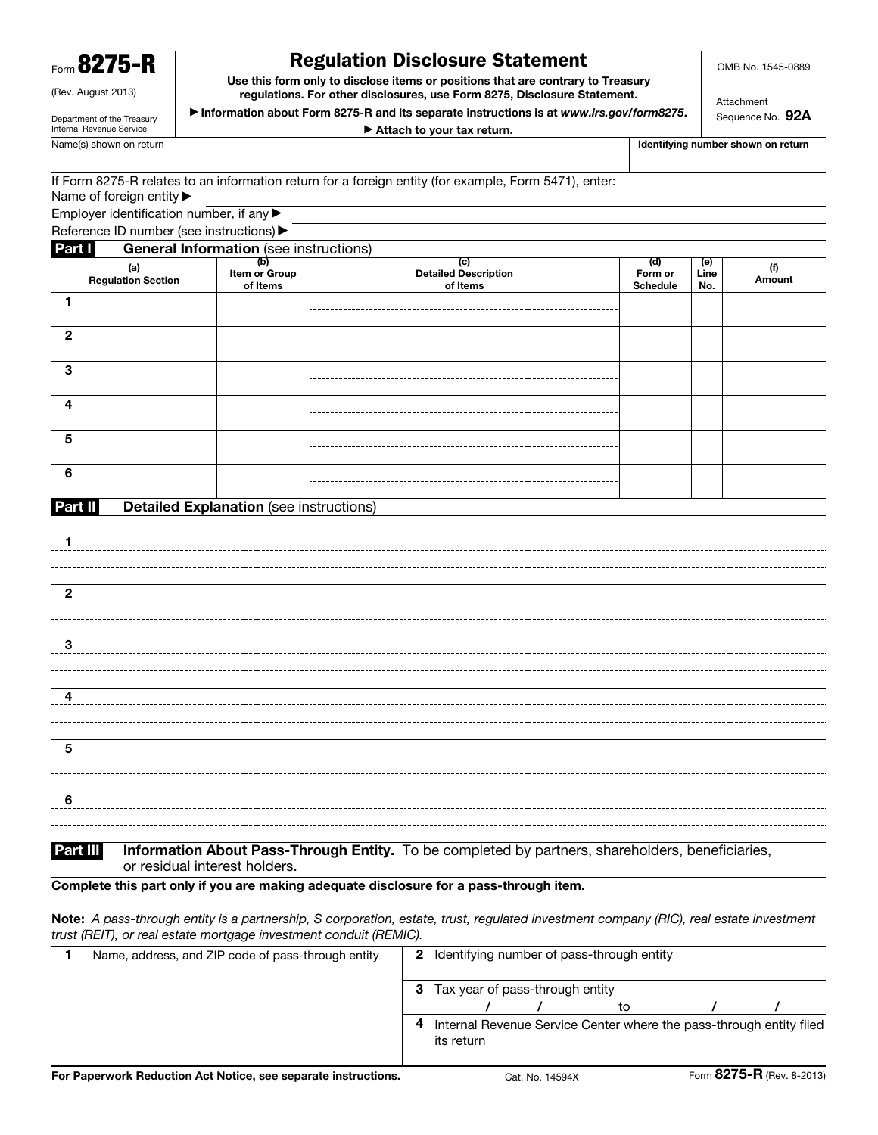|  | ١<br>Form OZ $\boldsymbol{I}$ ( | n |
|--|---------------------------------|---|
|--|---------------------------------|---|

(Rev. August 2013) Department of the Treasury Internal Revenue Service

6

## Regulation Disclosure Statement

Use this form only to disclose items or positions that are contrary to Treasury regulations. For other disclosures, use Form 8275, Disclosure Statement.

▶ Information about Form 8275-R and its separate instructions is at *www.irs.gov/form8275*.

OMB No. 1545-0889

Attachment Sequence No. 92A

▶ Attach to your tax return.

Name(s) shown on return in the shown on return in the shown on return in the shown on return in the shown on return in the shown on return in the shown on return in the shown on return in the shown on return in the shown o

| If Form 8275-R relates to an information return for a foreign entity (for example, Form 5471), enter: |  |  |  |
|-------------------------------------------------------------------------------------------------------|--|--|--|
| Name of foreign entity $\blacktriangleright$                                                          |  |  |  |

Employer identification number, if any ▶

|                         | Reference ID number (see instructions) ▶       |                                  |                                         |                                   |                    |               |
|-------------------------|------------------------------------------------|----------------------------------|-----------------------------------------|-----------------------------------|--------------------|---------------|
| Part I                  | <b>General Information</b> (see instructions)  |                                  |                                         |                                   |                    |               |
|                         | (a)<br>Regulation Section                      | (b)<br>Item or Group<br>of Items | (c)<br>Detailed Description<br>of Items | (d)<br>Form or<br><b>Schedule</b> | (e)<br>Line<br>No. | (f)<br>Amount |
| $\mathbf{1}$            |                                                |                                  |                                         |                                   |                    |               |
| $\overline{2}$          |                                                |                                  |                                         |                                   |                    |               |
| $\mathbf{3}$            |                                                |                                  |                                         |                                   |                    |               |
| $\overline{\mathbf{4}}$ |                                                |                                  |                                         |                                   |                    |               |
| $5\phantom{.0}$         |                                                |                                  |                                         |                                   |                    |               |
| $6\phantom{1}6$         |                                                |                                  |                                         |                                   |                    |               |
| Part II                 | <b>Detailed Explanation (see instructions)</b> |                                  |                                         |                                   |                    |               |
| 1                       |                                                |                                  |                                         |                                   |                    |               |
|                         |                                                |                                  |                                         |                                   |                    |               |
| $\mathbf{2}$            |                                                |                                  |                                         |                                   |                    |               |
|                         |                                                |                                  |                                         |                                   |                    |               |
| ${\bf 3}$               |                                                |                                  |                                         |                                   |                    |               |
|                         |                                                |                                  |                                         |                                   |                    |               |
| 4                       |                                                |                                  |                                         |                                   |                    |               |
|                         |                                                |                                  |                                         |                                   |                    |               |
| $\overline{\mathbf{5}}$ |                                                |                                  |                                         |                                   |                    |               |

Part III Information About Pass-Through Entity. To be completed by partners, shareholders, beneficiaries, or residual interest holders.

Complete this part only if you are making adequate disclosure for a pass-through item.

Note: *A pass-through entity is a partnership, S corporation, estate, trust, regulated investment company (RIC), real estate investment trust (REIT), or real estate mortgage investment conduit (REMIC).*

| Name, address, and ZIP code of pass-through entity |   | <b>2</b> Identifying number of pass-through entity |  |  |                                                                     |  |  |
|----------------------------------------------------|---|----------------------------------------------------|--|--|---------------------------------------------------------------------|--|--|
|                                                    | 3 | Tax year of pass-through entity                    |  |  |                                                                     |  |  |
|                                                    |   |                                                    |  |  |                                                                     |  |  |
|                                                    | 4 | its return                                         |  |  | Internal Revenue Service Center where the pass-through entity filed |  |  |